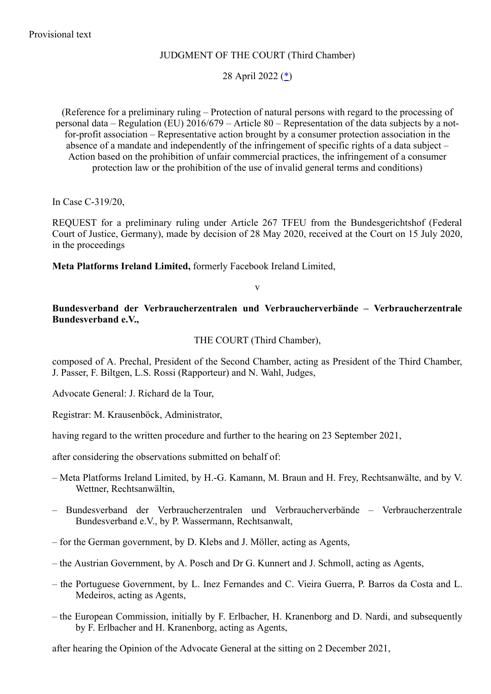# JUDGMENT OF THE COURT (Third Chamber)

<span id="page-0-0"></span>28 April 2022 [\(\\*](#page-13-0))

(Reference for a preliminary ruling – Protection of natural persons with regard to the processing of personal data – Regulation (EU) 2016/679 – Article 80 – Representation of the data subjects by a notfor-profit association – Representative action brought by a consumer protection association in the absence of a mandate and independently of the infringement of specific rights of a data subject – Action based on the prohibition of unfair commercial practices, the infringement of a consumer protection law or the prohibition of the use of invalid general terms and conditions)

In Case C‑319/20,

REQUEST for a preliminary ruling under Article 267 TFEU from the Bundesgerichtshof (Federal Court of Justice, Germany), made by decision of 28 May 2020, received at the Court on 15 July 2020, in the proceedings

**Meta Platforms Ireland Limited,** formerly Facebook Ireland Limited,

v

## **Bundesverband der Verbraucherzentralen und Verbraucherverbände – Verbraucherzentrale Bundesverband e.V.,**

### THE COURT (Third Chamber),

composed of A. Prechal, President of the Second Chamber, acting as President of the Third Chamber, J. Passer, F. Biltgen, L.S. Rossi (Rapporteur) and N. Wahl, Judges,

Advocate General: J. Richard de la Tour,

Registrar: M. Krausenböck, Administrator,

having regard to the written procedure and further to the hearing on 23 September 2021,

after considering the observations submitted on behalf of:

- Meta Platforms Ireland Limited, by H.-G. Kamann, M. Braun and H. Frey, Rechtsanwälte, and by V. Wettner, Rechtsanwältin,
- Bundesverband der Verbraucherzentralen und Verbraucherverbände Verbraucherzentrale Bundesverband e.V., by P. Wassermann, Rechtsanwalt,
- for the German government, by D. Klebs and J. Möller, acting as Agents,
- the Austrian Government, by A. Posch and Dr G. Kunnert and J. Schmoll, acting as Agents,
- the Portuguese Government, by L. Inez Fernandes and C. Vieira Guerra, P. Barros da Costa and L. Medeiros, acting as Agents,
- the European Commission, initially by F. Erlbacher, H. Kranenborg and D. Nardi, and subsequently by F. Erlbacher and H. Kranenborg, acting as Agents,

after hearing the Opinion of the Advocate General at the sitting on 2 December 2021,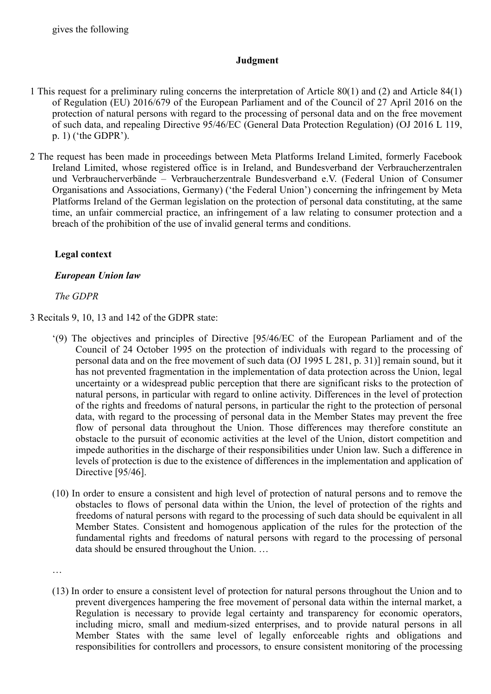# **Judgment**

- 1 This request for a preliminary ruling concerns the interpretation of Article 80(1) and (2) and Article 84(1) of Regulation (EU) 2016/679 of the European Parliament and of the Council of 27 April 2016 on the protection of natural persons with regard to the processing of personal data and on the free movement of such data, and repealing Directive 95/46/EC (General Data Protection Regulation) (OJ 2016 L 119, p. 1) ('the GDPR').
- 2 The request has been made in proceedings between Meta Platforms Ireland Limited, formerly Facebook Ireland Limited, whose registered office is in Ireland, and Bundesverband der Verbraucherzentralen und Verbraucherverbände – Verbraucherzentrale Bundesverband e.V. (Federal Union of Consumer Organisations and Associations, Germany) ('the Federal Union') concerning the infringement by Meta Platforms Ireland of the German legislation on the protection of personal data constituting, at the same time, an unfair commercial practice, an infringement of a law relating to consumer protection and a breach of the prohibition of the use of invalid general terms and conditions.

# **Legal context**

# *European Union law*

# *The GDPR*

3 Recitals 9, 10, 13 and 142 of the GDPR state:

- '(9) The objectives and principles of Directive [95/46/EC of the European Parliament and of the Council of 24 October 1995 on the protection of individuals with regard to the processing of personal data and on the free movement of such data (OJ 1995 L 281, p. 31)] remain sound, but it has not prevented fragmentation in the implementation of data protection across the Union, legal uncertainty or a widespread public perception that there are significant risks to the protection of natural persons, in particular with regard to online activity. Differences in the level of protection of the rights and freedoms of natural persons, in particular the right to the protection of personal data, with regard to the processing of personal data in the Member States may prevent the free flow of personal data throughout the Union. Those differences may therefore constitute an obstacle to the pursuit of economic activities at the level of the Union, distort competition and impede authorities in the discharge of their responsibilities under Union law. Such a difference in levels of protection is due to the existence of differences in the implementation and application of Directive [95/46].
- (10) In order to ensure a consistent and high level of protection of natural persons and to remove the obstacles to flows of personal data within the Union, the level of protection of the rights and freedoms of natural persons with regard to the processing of such data should be equivalent in all Member States. Consistent and homogenous application of the rules for the protection of the fundamental rights and freedoms of natural persons with regard to the processing of personal data should be ensured throughout the Union. …

(13) In order to ensure a consistent level of protection for natural persons throughout the Union and to prevent divergences hampering the free movement of personal data within the internal market, a Regulation is necessary to provide legal certainty and transparency for economic operators, including micro, small and medium-sized enterprises, and to provide natural persons in all Member States with the same level of legally enforceable rights and obligations and responsibilities for controllers and processors, to ensure consistent monitoring of the processing

<sup>…</sup>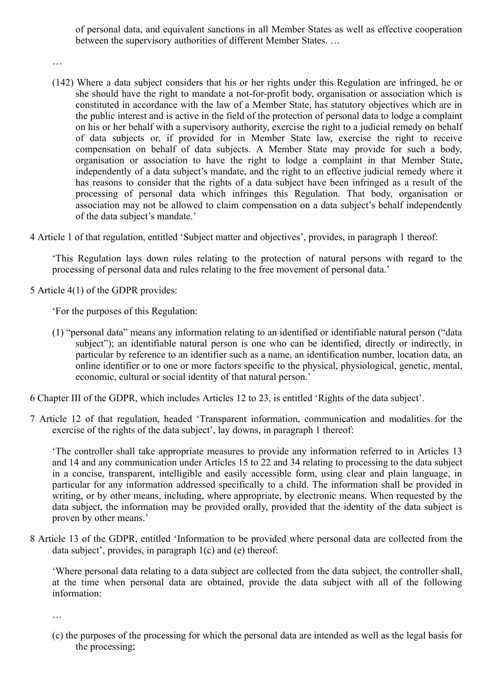of personal data, and equivalent sanctions in all Member States as well as effective cooperation between the supervisory authorities of different Member States. …

…

(142) Where a data subject considers that his or her rights under this Regulation are infringed, he or she should have the right to mandate a not-for-profit body, organisation or association which is constituted in accordance with the law of a Member State, has statutory objectives which are in the public interest and is active in the field of the protection of personal data to lodge a complaint on his or her behalf with a supervisory authority, exercise the right to a judicial remedy on behalf of data subjects or, if provided for in Member State law, exercise the right to receive compensation on behalf of data subjects. A Member State may provide for such a body, organisation or association to have the right to lodge a complaint in that Member State, independently of a data subject's mandate, and the right to an effective judicial remedy where it has reasons to consider that the rights of a data subject have been infringed as a result of the processing of personal data which infringes this Regulation. That body, organisation or association may not be allowed to claim compensation on a data subject's behalf independently of the data subject's mandate.'

4 Article 1 of that regulation, entitled 'Subject matter and objectives', provides, in paragraph 1 thereof:

'This Regulation lays down rules relating to the protection of natural persons with regard to the processing of personal data and rules relating to the free movement of personal data.'

5 Article 4(1) of the GDPR provides:

'For the purposes of this Regulation:

- (1) "personal data" means any information relating to an identified or identifiable natural person ("data subject"); an identifiable natural person is one who can be identified, directly or indirectly, in particular by reference to an identifier such as a name, an identification number, location data, an online identifier or to one or more factors specific to the physical, physiological, genetic, mental, economic, cultural or social identity of that natural person.'
- 6 Chapter III of the GDPR, which includes Articles 12 to 23, is entitled 'Rights of the data subject'.
- 7 Article 12 of that regulation, headed 'Transparent information, communication and modalities for the exercise of the rights of the data subject', lay downs, in paragraph 1 thereof:

'The controller shall take appropriate measures to provide any information referred to in Articles 13 and 14 and any communication under Articles 15 to 22 and 34 relating to processing to the data subject in a concise, transparent, intelligible and easily accessible form, using clear and plain language, in particular for any information addressed specifically to a child. The information shall be provided in writing, or by other means, including, where appropriate, by electronic means. When requested by the data subject, the information may be provided orally, provided that the identity of the data subject is proven by other means.'

8 Article 13 of the GDPR, entitled 'Information to be provided where personal data are collected from the data subject', provides, in paragraph  $1(c)$  and  $(e)$  thereof:

'Where personal data relating to a data subject are collected from the data subject, the controller shall, at the time when personal data are obtained, provide the data subject with all of the following information:

…

(c) the purposes of the processing for which the personal data are intended as well as the legal basis for the processing;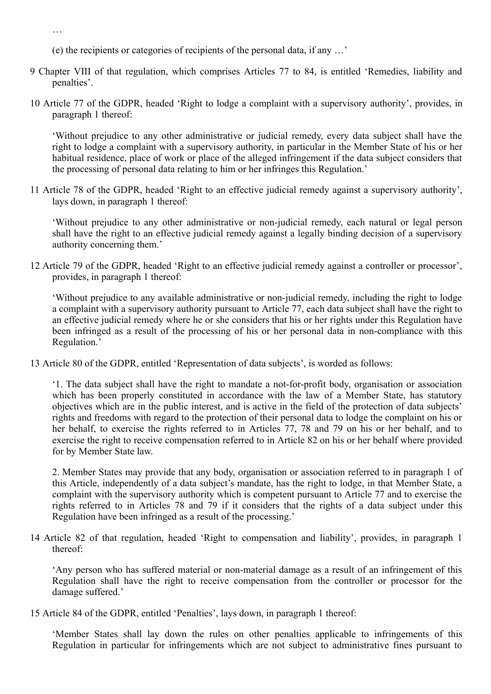(e) the recipients or categories of recipients of the personal data, if any …'

…

- 9 Chapter VIII of that regulation, which comprises Articles 77 to 84, is entitled 'Remedies, liability and penalties'.
- 10 Article 77 of the GDPR, headed 'Right to lodge a complaint with a supervisory authority', provides, in paragraph 1 thereof:

'Without prejudice to any other administrative or judicial remedy, every data subject shall have the right to lodge a complaint with a supervisory authority, in particular in the Member State of his or her habitual residence, place of work or place of the alleged infringement if the data subject considers that the processing of personal data relating to him or her infringes this Regulation.'

11 Article 78 of the GDPR, headed 'Right to an effective judicial remedy against a supervisory authority', lays down, in paragraph 1 thereof:

'Without prejudice to any other administrative or non-judicial remedy, each natural or legal person shall have the right to an effective judicial remedy against a legally binding decision of a supervisory authority concerning them.'

12 Article 79 of the GDPR, headed 'Right to an effective judicial remedy against a controller or processor', provides, in paragraph 1 thereof:

'Without prejudice to any available administrative or non-judicial remedy, including the right to lodge a complaint with a supervisory authority pursuant to Article 77, each data subject shall have the right to an effective judicial remedy where he or she considers that his or her rights under this Regulation have been infringed as a result of the processing of his or her personal data in non-compliance with this Regulation.'

13 Article 80 of the GDPR, entitled 'Representation of data subjects', is worded as follows:

'1. The data subject shall have the right to mandate a not-for-profit body, organisation or association which has been properly constituted in accordance with the law of a Member State, has statutory objectives which are in the public interest, and is active in the field of the protection of data subjects' rights and freedoms with regard to the protection of their personal data to lodge the complaint on his or her behalf, to exercise the rights referred to in Articles 77, 78 and 79 on his or her behalf, and to exercise the right to receive compensation referred to in Article 82 on his or her behalf where provided for by Member State law.

2. Member States may provide that any body, organisation or association referred to in paragraph 1 of this Article, independently of a data subject's mandate, has the right to lodge, in that Member State, a complaint with the supervisory authority which is competent pursuant to Article 77 and to exercise the rights referred to in Articles 78 and 79 if it considers that the rights of a data subject under this Regulation have been infringed as a result of the processing.'

14 Article 82 of that regulation, headed 'Right to compensation and liability', provides, in paragraph 1 thereof:

'Any person who has suffered material or non-material damage as a result of an infringement of this Regulation shall have the right to receive compensation from the controller or processor for the damage suffered.'

15 Article 84 of the GDPR, entitled 'Penalties', lays down, in paragraph 1 thereof:

'Member States shall lay down the rules on other penalties applicable to infringements of this Regulation in particular for infringements which are not subject to administrative fines pursuant to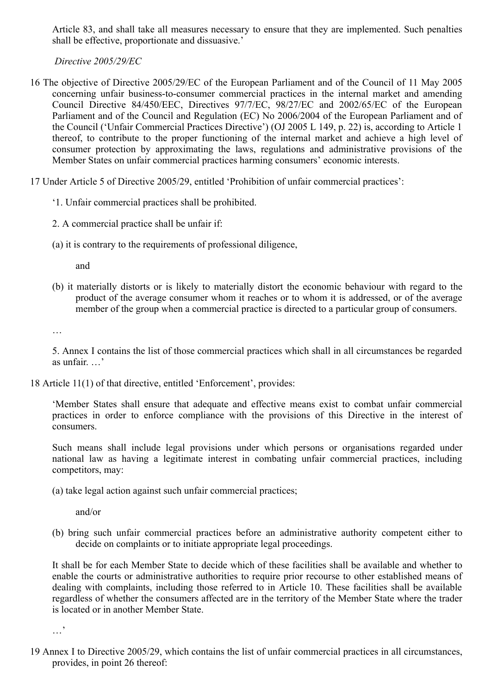Article 83, and shall take all measures necessary to ensure that they are implemented. Such penalties shall be effective, proportionate and dissuasive.'

*Directive 2005/29/EC*

16 The objective of Directive 2005/29/EC of the European Parliament and of the Council of 11 May 2005 concerning unfair business-to-consumer commercial practices in the internal market and amending Council Directive 84/450/EEC, Directives 97/7/EC, 98/27/EC and 2002/65/EC of the European Parliament and of the Council and Regulation (EC) No 2006/2004 of the European Parliament and of the Council ('Unfair Commercial Practices Directive') (OJ 2005 L 149, p. 22) is, according to Article 1 thereof, to contribute to the proper functioning of the internal market and achieve a high level of consumer protection by approximating the laws, regulations and administrative provisions of the Member States on unfair commercial practices harming consumers' economic interests.

17 Under Article 5 of Directive 2005/29, entitled 'Prohibition of unfair commercial practices':

- '1. Unfair commercial practices shall be prohibited.
- 2. A commercial practice shall be unfair if:
- (a) it is contrary to the requirements of professional diligence,

and

(b) it materially distorts or is likely to materially distort the economic behaviour with regard to the product of the average consumer whom it reaches or to whom it is addressed, or of the average member of the group when a commercial practice is directed to a particular group of consumers.

…

5. Annex I contains the list of those commercial practices which shall in all circumstances be regarded as unfair. …'

18 Article 11(1) of that directive, entitled 'Enforcement', provides:

'Member States shall ensure that adequate and effective means exist to combat unfair commercial practices in order to enforce compliance with the provisions of this Directive in the interest of consumers.

Such means shall include legal provisions under which persons or organisations regarded under national law as having a legitimate interest in combating unfair commercial practices, including competitors, may:

(a) take legal action against such unfair commercial practices;

and/or

(b) bring such unfair commercial practices before an administrative authority competent either to decide on complaints or to initiate appropriate legal proceedings.

It shall be for each Member State to decide which of these facilities shall be available and whether to enable the courts or administrative authorities to require prior recourse to other established means of dealing with complaints, including those referred to in Article 10. These facilities shall be available regardless of whether the consumers affected are in the territory of the Member State where the trader is located or in another Member State.

…<sup>'</sup>

19 Annex I to Directive 2005/29, which contains the list of unfair commercial practices in all circumstances, provides, in point 26 thereof: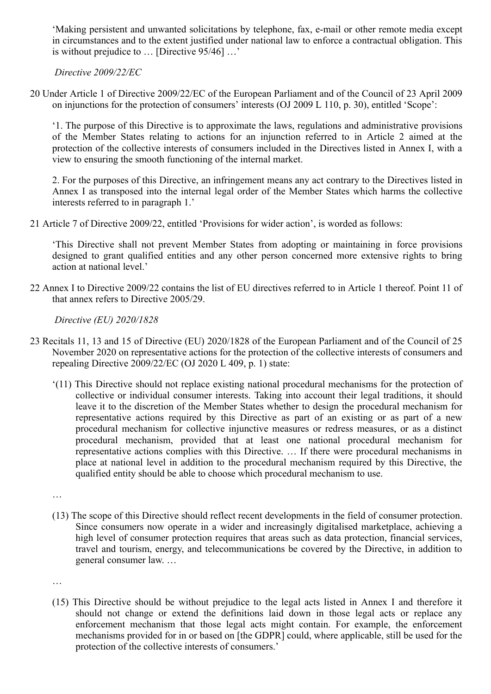'Making persistent and unwanted solicitations by telephone, fax, e-mail or other remote media except in circumstances and to the extent justified under national law to enforce a contractual obligation. This is without prejudice to … [Directive 95/46] …'

*Directive 2009/22/EC*

20 Under Article 1 of Directive 2009/22/EC of the European Parliament and of the Council of 23 April 2009 on injunctions for the protection of consumers' interests (OJ 2009 L 110, p. 30), entitled 'Scope':

'1. The purpose of this Directive is to approximate the laws, regulations and administrative provisions of the Member States relating to actions for an injunction referred to in Article 2 aimed at the protection of the collective interests of consumers included in the Directives listed in Annex I, with a view to ensuring the smooth functioning of the internal market.

2. For the purposes of this Directive, an infringement means any act contrary to the Directives listed in Annex I as transposed into the internal legal order of the Member States which harms the collective interests referred to in paragraph 1.'

21 Article 7 of Directive 2009/22, entitled 'Provisions for wider action', is worded as follows:

'This Directive shall not prevent Member States from adopting or maintaining in force provisions designed to grant qualified entities and any other person concerned more extensive rights to bring action at national level.'

22 Annex I to Directive 2009/22 contains the list of EU directives referred to in Article 1 thereof. Point 11 of that annex refers to Directive 2005/29.

*Directive (EU) 2020/1828*

- 23 Recitals 11, 13 and 15 of Directive (EU) 2020/1828 of the European Parliament and of the Council of 25 November 2020 on representative actions for the protection of the collective interests of consumers and repealing Directive 2009/22/EC (OJ 2020 L 409, p. 1) state:
	- '(11) This Directive should not replace existing national procedural mechanisms for the protection of collective or individual consumer interests. Taking into account their legal traditions, it should leave it to the discretion of the Member States whether to design the procedural mechanism for representative actions required by this Directive as part of an existing or as part of a new procedural mechanism for collective injunctive measures or redress measures, or as a distinct procedural mechanism, provided that at least one national procedural mechanism for representative actions complies with this Directive. … If there were procedural mechanisms in place at national level in addition to the procedural mechanism required by this Directive, the qualified entity should be able to choose which procedural mechanism to use.

…

(13) The scope of this Directive should reflect recent developments in the field of consumer protection. Since consumers now operate in a wider and increasingly digitalised marketplace, achieving a high level of consumer protection requires that areas such as data protection, financial services, travel and tourism, energy, and telecommunications be covered by the Directive, in addition to general consumer law. …

…

(15) This Directive should be without prejudice to the legal acts listed in Annex I and therefore it should not change or extend the definitions laid down in those legal acts or replace any enforcement mechanism that those legal acts might contain. For example, the enforcement mechanisms provided for in or based on [the GDPR] could, where applicable, still be used for the protection of the collective interests of consumers.'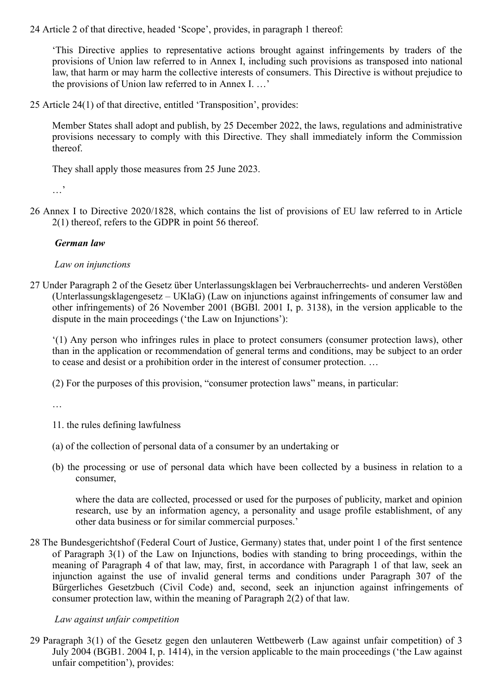24 Article 2 of that directive, headed 'Scope', provides, in paragraph 1 thereof:

'This Directive applies to representative actions brought against infringements by traders of the provisions of Union law referred to in Annex I, including such provisions as transposed into national law, that harm or may harm the collective interests of consumers. This Directive is without prejudice to the provisions of Union law referred to in Annex I. …'

25 Article 24(1) of that directive, entitled 'Transposition', provides:

Member States shall adopt and publish, by 25 December 2022, the laws, regulations and administrative provisions necessary to comply with this Directive. They shall immediately inform the Commission thereof.

They shall apply those measures from 25 June 2023.

…'

26 Annex I to Directive 2020/1828, which contains the list of provisions of EU law referred to in Article 2(1) thereof, refers to the GDPR in point 56 thereof.

## *German law*

### *Law on injunctions*

27 Under Paragraph 2 of the Gesetz über Unterlassungsklagen bei Verbraucherrechts- und anderen Verstößen (Unterlassungsklagengesetz – UKlaG) (Law on injunctions against infringements of consumer law and other infringements) of 26 November 2001 (BGBl. 2001 I, p. 3138), in the version applicable to the dispute in the main proceedings ('the Law on Injunctions'):

'(1) Any person who infringes rules in place to protect consumers (consumer protection laws), other than in the application or recommendation of general terms and conditions, may be subject to an order to cease and desist or a prohibition order in the interest of consumer protection. …

(2) For the purposes of this provision, "consumer protection laws" means, in particular:

…

11. the rules defining lawfulness

- (a) of the collection of personal data of a consumer by an undertaking or
- (b) the processing or use of personal data which have been collected by a business in relation to a consumer,

where the data are collected, processed or used for the purposes of publicity, market and opinion research, use by an information agency, a personality and usage profile establishment, of any other data business or for similar commercial purposes.'

28 The Bundesgerichtshof (Federal Court of Justice, Germany) states that, under point 1 of the first sentence of Paragraph 3(1) of the Law on Injunctions, bodies with standing to bring proceedings, within the meaning of Paragraph 4 of that law, may, first, in accordance with Paragraph 1 of that law, seek an injunction against the use of invalid general terms and conditions under Paragraph 307 of the Bürgerliches Gesetzbuch (Civil Code) and, second, seek an injunction against infringements of consumer protection law, within the meaning of Paragraph 2(2) of that law.

#### *Law against unfair competition*

29 Paragraph 3(1) of the Gesetz gegen den unlauteren Wettbewerb (Law against unfair competition) of 3 July 2004 (BGB1. 2004 I, p. 1414), in the version applicable to the main proceedings ('the Law against unfair competition'), provides: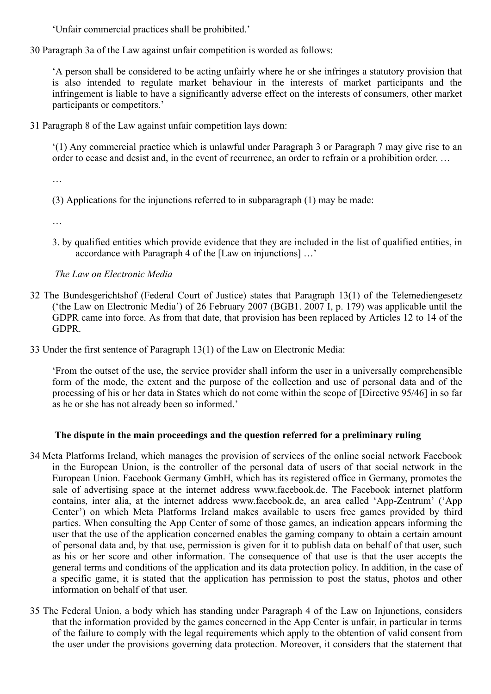'Unfair commercial practices shall be prohibited.'

30 Paragraph 3a of the Law against unfair competition is worded as follows:

'A person shall be considered to be acting unfairly where he or she infringes a statutory provision that is also intended to regulate market behaviour in the interests of market participants and the infringement is liable to have a significantly adverse effect on the interests of consumers, other market participants or competitors.'

31 Paragraph 8 of the Law against unfair competition lays down:

'(1) Any commercial practice which is unlawful under Paragraph 3 or Paragraph 7 may give rise to an order to cease and desist and, in the event of recurrence, an order to refrain or a prohibition order. …

…

(3) Applications for the injunctions referred to in subparagraph (1) may be made:

- …
- 3. by qualified entities which provide evidence that they are included in the list of qualified entities, in accordance with Paragraph 4 of the [Law on injunctions] …'

*The Law on Electronic Media*

32 The Bundesgerichtshof (Federal Court of Justice) states that Paragraph 13(1) of the Telemediengesetz ('the Law on Electronic Media') of 26 February 2007 (BGB1. 2007 I, p. 179) was applicable until the GDPR came into force. As from that date, that provision has been replaced by Articles 12 to 14 of the GDPR.

33 Under the first sentence of Paragraph 13(1) of the Law on Electronic Media:

'From the outset of the use, the service provider shall inform the user in a universally comprehensible form of the mode, the extent and the purpose of the collection and use of personal data and of the processing of his or her data in States which do not come within the scope of [Directive 95/46] in so far as he or she has not already been so informed.'

## **The dispute in the main proceedings and the question referred for a preliminary ruling**

- 34 Meta Platforms Ireland, which manages the provision of services of the online social network Facebook in the European Union, is the controller of the personal data of users of that social network in the European Union. Facebook Germany GmbH, which has its registered office in Germany, promotes the sale of advertising space at the internet address www.facebook.de. The Facebook internet platform contains, inter alia, at the internet address www.facebook.de, an area called 'App-Zentrum' ('App Center') on which Meta Platforms Ireland makes available to users free games provided by third parties. When consulting the App Center of some of those games, an indication appears informing the user that the use of the application concerned enables the gaming company to obtain a certain amount of personal data and, by that use, permission is given for it to publish data on behalf of that user, such as his or her score and other information. The consequence of that use is that the user accepts the general terms and conditions of the application and its data protection policy. In addition, in the case of a specific game, it is stated that the application has permission to post the status, photos and other information on behalf of that user.
- 35 The Federal Union, a body which has standing under Paragraph 4 of the Law on Injunctions, considers that the information provided by the games concerned in the App Center is unfair, in particular in terms of the failure to comply with the legal requirements which apply to the obtention of valid consent from the user under the provisions governing data protection. Moreover, it considers that the statement that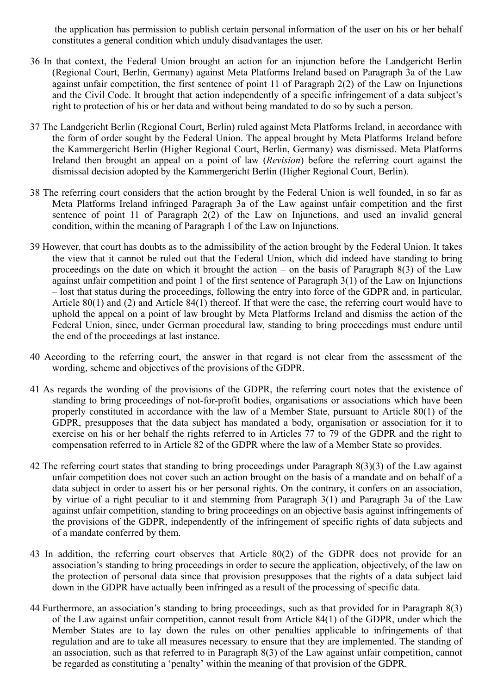the application has permission to publish certain personal information of the user on his or her behalf constitutes a general condition which unduly disadvantages the user.

- 36 In that context, the Federal Union brought an action for an injunction before the Landgericht Berlin (Regional Court, Berlin, Germany) against Meta Platforms Ireland based on Paragraph 3a of the Law against unfair competition, the first sentence of point 11 of Paragraph 2(2) of the Law on Injunctions and the Civil Code. It brought that action independently of a specific infringement of a data subject's right to protection of his or her data and without being mandated to do so by such a person.
- 37 The Landgericht Berlin (Regional Court, Berlin) ruled against Meta Platforms Ireland, in accordance with the form of order sought by the Federal Union. The appeal brought by Meta Platforms Ireland before the Kammergericht Berlin (Higher Regional Court, Berlin, Germany) was dismissed. Meta Platforms Ireland then brought an appeal on a point of law (*Revision*) before the referring court against the dismissal decision adopted by the Kammergericht Berlin (Higher Regional Court, Berlin).
- 38 The referring court considers that the action brought by the Federal Union is well founded, in so far as Meta Platforms Ireland infringed Paragraph 3a of the Law against unfair competition and the first sentence of point 11 of Paragraph 2(2) of the Law on Injunctions, and used an invalid general condition, within the meaning of Paragraph 1 of the Law on Injunctions.
- 39 However, that court has doubts as to the admissibility of the action brought by the Federal Union. It takes the view that it cannot be ruled out that the Federal Union, which did indeed have standing to bring proceedings on the date on which it brought the action – on the basis of Paragraph 8(3) of the Law against unfair competition and point 1 of the first sentence of Paragraph 3(1) of the Law on Injunctions – lost that status during the proceedings, following the entry into force of the GDPR and, in particular, Article 80(1) and (2) and Article 84(1) thereof. If that were the case, the referring court would have to uphold the appeal on a point of law brought by Meta Platforms Ireland and dismiss the action of the Federal Union, since, under German procedural law, standing to bring proceedings must endure until the end of the proceedings at last instance.
- 40 According to the referring court, the answer in that regard is not clear from the assessment of the wording, scheme and objectives of the provisions of the GDPR.
- 41 As regards the wording of the provisions of the GDPR, the referring court notes that the existence of standing to bring proceedings of not-for-profit bodies, organisations or associations which have been properly constituted in accordance with the law of a Member State, pursuant to Article 80(1) of the GDPR, presupposes that the data subject has mandated a body, organisation or association for it to exercise on his or her behalf the rights referred to in Articles 77 to 79 of the GDPR and the right to compensation referred to in Article 82 of the GDPR where the law of a Member State so provides.
- 42 The referring court states that standing to bring proceedings under Paragraph 8(3)(3) of the Law against unfair competition does not cover such an action brought on the basis of a mandate and on behalf of a data subject in order to assert his or her personal rights. On the contrary, it confers on an association, by virtue of a right peculiar to it and stemming from Paragraph 3(1) and Paragraph 3a of the Law against unfair competition, standing to bring proceedings on an objective basis against infringements of the provisions of the GDPR, independently of the infringement of specific rights of data subjects and of a mandate conferred by them.
- 43 In addition, the referring court observes that Article 80(2) of the GDPR does not provide for an association's standing to bring proceedings in order to secure the application, objectively, of the law on the protection of personal data since that provision presupposes that the rights of a data subject laid down in the GDPR have actually been infringed as a result of the processing of specific data.
- 44 Furthermore, an association's standing to bring proceedings, such as that provided for in Paragraph 8(3) of the Law against unfair competition, cannot result from Article 84(1) of the GDPR, under which the Member States are to lay down the rules on other penalties applicable to infringements of that regulation and are to take all measures necessary to ensure that they are implemented. The standing of an association, such as that referred to in Paragraph 8(3) of the Law against unfair competition, cannot be regarded as constituting a 'penalty' within the meaning of that provision of the GDPR.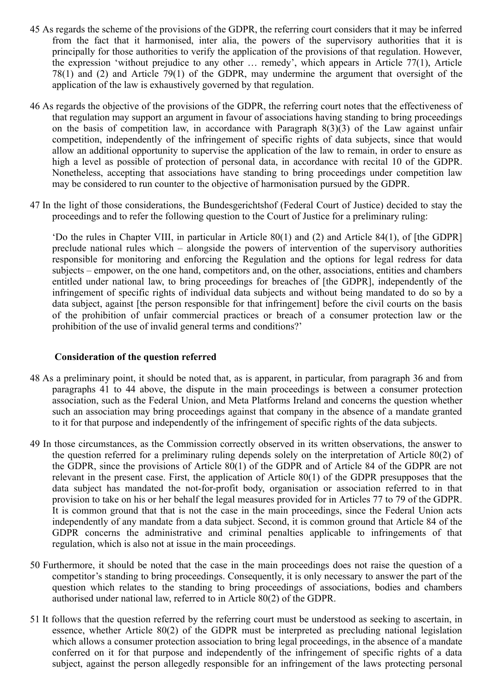- 45 As regards the scheme of the provisions of the GDPR, the referring court considers that it may be inferred from the fact that it harmonised, inter alia, the powers of the supervisory authorities that it is principally for those authorities to verify the application of the provisions of that regulation. However, the expression 'without prejudice to any other … remedy', which appears in Article 77(1), Article 78(1) and (2) and Article 79(1) of the GDPR, may undermine the argument that oversight of the application of the law is exhaustively governed by that regulation.
- 46 As regards the objective of the provisions of the GDPR, the referring court notes that the effectiveness of that regulation may support an argument in favour of associations having standing to bring proceedings on the basis of competition law, in accordance with Paragraph 8(3)(3) of the Law against unfair competition, independently of the infringement of specific rights of data subjects, since that would allow an additional opportunity to supervise the application of the law to remain, in order to ensure as high a level as possible of protection of personal data, in accordance with recital 10 of the GDPR. Nonetheless, accepting that associations have standing to bring proceedings under competition law may be considered to run counter to the objective of harmonisation pursued by the GDPR.
- 47 In the light of those considerations, the Bundesgerichtshof (Federal Court of Justice) decided to stay the proceedings and to refer the following question to the Court of Justice for a preliminary ruling:

'Do the rules in Chapter VIII, in particular in Article 80(1) and (2) and Article 84(1), of [the GDPR] preclude national rules which – alongside the powers of intervention of the supervisory authorities responsible for monitoring and enforcing the Regulation and the options for legal redress for data subjects – empower, on the one hand, competitors and, on the other, associations, entities and chambers entitled under national law, to bring proceedings for breaches of [the GDPR], independently of the infringement of specific rights of individual data subjects and without being mandated to do so by a data subject, against [the person responsible for that infringement] before the civil courts on the basis of the prohibition of unfair commercial practices or breach of a consumer protection law or the prohibition of the use of invalid general terms and conditions?'

#### **Consideration of the question referred**

- 48 As a preliminary point, it should be noted that, as is apparent, in particular, from paragraph 36 and from paragraphs 41 to 44 above, the dispute in the main proceedings is between a consumer protection association, such as the Federal Union, and Meta Platforms Ireland and concerns the question whether such an association may bring proceedings against that company in the absence of a mandate granted to it for that purpose and independently of the infringement of specific rights of the data subjects.
- 49 In those circumstances, as the Commission correctly observed in its written observations, the answer to the question referred for a preliminary ruling depends solely on the interpretation of Article 80(2) of the GDPR, since the provisions of Article 80(1) of the GDPR and of Article 84 of the GDPR are not relevant in the present case. First, the application of Article 80(1) of the GDPR presupposes that the data subject has mandated the not-for-profit body, organisation or association referred to in that provision to take on his or her behalf the legal measures provided for in Articles 77 to 79 of the GDPR. It is common ground that that is not the case in the main proceedings, since the Federal Union acts independently of any mandate from a data subject. Second, it is common ground that Article 84 of the GDPR concerns the administrative and criminal penalties applicable to infringements of that regulation, which is also not at issue in the main proceedings.
- 50 Furthermore, it should be noted that the case in the main proceedings does not raise the question of a competitor's standing to bring proceedings. Consequently, it is only necessary to answer the part of the question which relates to the standing to bring proceedings of associations, bodies and chambers authorised under national law, referred to in Article 80(2) of the GDPR.
- 51 It follows that the question referred by the referring court must be understood as seeking to ascertain, in essence, whether Article 80(2) of the GDPR must be interpreted as precluding national legislation which allows a consumer protection association to bring legal proceedings, in the absence of a mandate conferred on it for that purpose and independently of the infringement of specific rights of a data subject, against the person allegedly responsible for an infringement of the laws protecting personal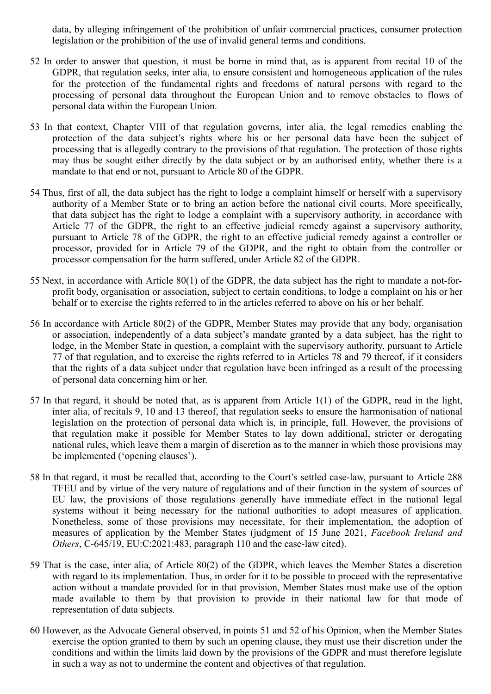data, by alleging infringement of the prohibition of unfair commercial practices, consumer protection legislation or the prohibition of the use of invalid general terms and conditions.

- 52 In order to answer that question, it must be borne in mind that, as is apparent from recital 10 of the GDPR, that regulation seeks, inter alia, to ensure consistent and homogeneous application of the rules for the protection of the fundamental rights and freedoms of natural persons with regard to the processing of personal data throughout the European Union and to remove obstacles to flows of personal data within the European Union.
- 53 In that context, Chapter VIII of that regulation governs, inter alia, the legal remedies enabling the protection of the data subject's rights where his or her personal data have been the subject of processing that is allegedly contrary to the provisions of that regulation. The protection of those rights may thus be sought either directly by the data subject or by an authorised entity, whether there is a mandate to that end or not, pursuant to Article 80 of the GDPR.
- 54 Thus, first of all, the data subject has the right to lodge a complaint himself or herself with a supervisory authority of a Member State or to bring an action before the national civil courts. More specifically, that data subject has the right to lodge a complaint with a supervisory authority, in accordance with Article 77 of the GDPR, the right to an effective judicial remedy against a supervisory authority, pursuant to Article 78 of the GDPR, the right to an effective judicial remedy against a controller or processor, provided for in Article 79 of the GDPR, and the right to obtain from the controller or processor compensation for the harm suffered, under Article 82 of the GDPR.
- 55 Next, in accordance with Article 80(1) of the GDPR, the data subject has the right to mandate a not-forprofit body, organisation or association, subject to certain conditions, to lodge a complaint on his or her behalf or to exercise the rights referred to in the articles referred to above on his or her behalf.
- 56 In accordance with Article 80(2) of the GDPR, Member States may provide that any body, organisation or association, independently of a data subject's mandate granted by a data subject, has the right to lodge, in the Member State in question, a complaint with the supervisory authority, pursuant to Article 77 of that regulation, and to exercise the rights referred to in Articles 78 and 79 thereof, if it considers that the rights of a data subject under that regulation have been infringed as a result of the processing of personal data concerning him or her.
- 57 In that regard, it should be noted that, as is apparent from Article 1(1) of the GDPR, read in the light, inter alia, of recitals 9, 10 and 13 thereof, that regulation seeks to ensure the harmonisation of national legislation on the protection of personal data which is, in principle, full. However, the provisions of that regulation make it possible for Member States to lay down additional, stricter or derogating national rules, which leave them a margin of discretion as to the manner in which those provisions may be implemented ('opening clauses').
- 58 In that regard, it must be recalled that, according to the Court's settled case-law, pursuant to Article 288 TFEU and by virtue of the very nature of regulations and of their function in the system of sources of EU law, the provisions of those regulations generally have immediate effect in the national legal systems without it being necessary for the national authorities to adopt measures of application. Nonetheless, some of those provisions may necessitate, for their implementation, the adoption of measures of application by the Member States (judgment of 15 June 2021, *Facebook Ireland and Others*, C-645/19, EU:C:2021:483, paragraph 110 and the case-law cited).
- 59 That is the case, inter alia, of Article 80(2) of the GDPR, which leaves the Member States a discretion with regard to its implementation. Thus, in order for it to be possible to proceed with the representative action without a mandate provided for in that provision, Member States must make use of the option made available to them by that provision to provide in their national law for that mode of representation of data subjects.
- 60 However, as the Advocate General observed, in points 51 and 52 of his Opinion, when the Member States exercise the option granted to them by such an opening clause, they must use their discretion under the conditions and within the limits laid down by the provisions of the GDPR and must therefore legislate in such a way as not to undermine the content and objectives of that regulation.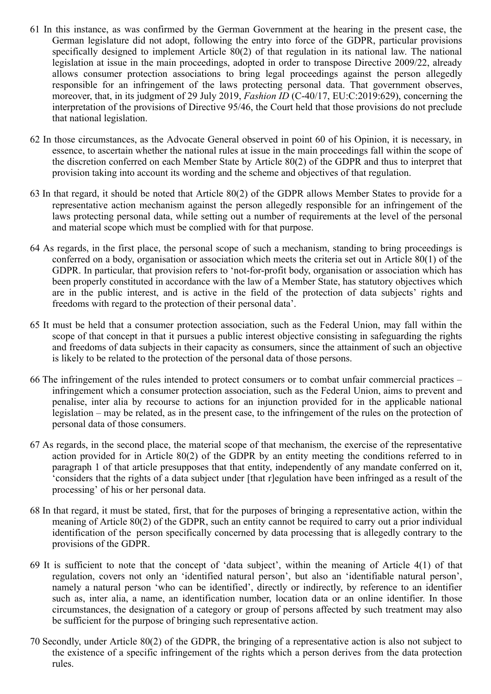- 61 In this instance, as was confirmed by the German Government at the hearing in the present case, the German legislature did not adopt, following the entry into force of the GDPR, particular provisions specifically designed to implement Article 80(2) of that regulation in its national law. The national legislation at issue in the main proceedings, adopted in order to transpose Directive 2009/22, already allows consumer protection associations to bring legal proceedings against the person allegedly responsible for an infringement of the laws protecting personal data. That government observes, moreover, that, in its judgment of 29 July 2019, *Fashion ID* (C-40/17, EU:C:2019:629), concerning the interpretation of the provisions of Directive 95/46, the Court held that those provisions do not preclude that national legislation.
- 62 In those circumstances, as the Advocate General observed in point 60 of his Opinion, it is necessary, in essence, to ascertain whether the national rules at issue in the main proceedings fall within the scope of the discretion conferred on each Member State by Article 80(2) of the GDPR and thus to interpret that provision taking into account its wording and the scheme and objectives of that regulation.
- 63 In that regard, it should be noted that Article 80(2) of the GDPR allows Member States to provide for a representative action mechanism against the person allegedly responsible for an infringement of the laws protecting personal data, while setting out a number of requirements at the level of the personal and material scope which must be complied with for that purpose.
- 64 As regards, in the first place, the personal scope of such a mechanism, standing to bring proceedings is conferred on a body, organisation or association which meets the criteria set out in Article 80(1) of the GDPR. In particular, that provision refers to 'not-for-profit body, organisation or association which has been properly constituted in accordance with the law of a Member State, has statutory objectives which are in the public interest, and is active in the field of the protection of data subjects' rights and freedoms with regard to the protection of their personal data'.
- 65 It must be held that a consumer protection association, such as the Federal Union, may fall within the scope of that concept in that it pursues a public interest objective consisting in safeguarding the rights and freedoms of data subjects in their capacity as consumers, since the attainment of such an objective is likely to be related to the protection of the personal data of those persons.
- 66 The infringement of the rules intended to protect consumers or to combat unfair commercial practices infringement which a consumer protection association, such as the Federal Union, aims to prevent and penalise, inter alia by recourse to actions for an injunction provided for in the applicable national legislation – may be related, as in the present case, to the infringement of the rules on the protection of personal data of those consumers.
- 67 As regards, in the second place, the material scope of that mechanism, the exercise of the representative action provided for in Article 80(2) of the GDPR by an entity meeting the conditions referred to in paragraph 1 of that article presupposes that that entity, independently of any mandate conferred on it, 'considers that the rights of a data subject under [that r]egulation have been infringed as a result of the processing' of his or her personal data.
- 68 In that regard, it must be stated, first, that for the purposes of bringing a representative action, within the meaning of Article 80(2) of the GDPR, such an entity cannot be required to carry out a prior individual identification of the person specifically concerned by data processing that is allegedly contrary to the provisions of the GDPR.
- 69 It is sufficient to note that the concept of 'data subject', within the meaning of Article 4(1) of that regulation, covers not only an 'identified natural person', but also an 'identifiable natural person', namely a natural person 'who can be identified', directly or indirectly, by reference to an identifier such as, inter alia, a name, an identification number, location data or an online identifier. In those circumstances, the designation of a category or group of persons affected by such treatment may also be sufficient for the purpose of bringing such representative action.
- 70 Secondly, under Article 80(2) of the GDPR, the bringing of a representative action is also not subject to the existence of a specific infringement of the rights which a person derives from the data protection rules.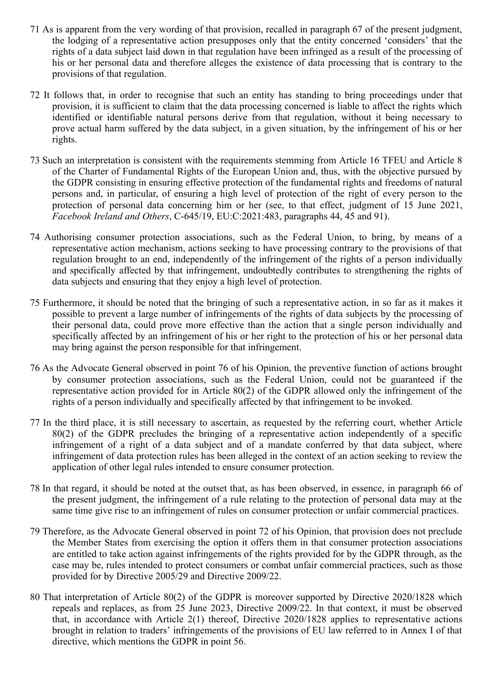- 71 As is apparent from the very wording of that provision, recalled in paragraph 67 of the present judgment, the lodging of a representative action presupposes only that the entity concerned 'considers' that the rights of a data subject laid down in that regulation have been infringed as a result of the processing of his or her personal data and therefore alleges the existence of data processing that is contrary to the provisions of that regulation.
- 72 It follows that, in order to recognise that such an entity has standing to bring proceedings under that provision, it is sufficient to claim that the data processing concerned is liable to affect the rights which identified or identifiable natural persons derive from that regulation, without it being necessary to prove actual harm suffered by the data subject, in a given situation, by the infringement of his or her rights.
- 73 Such an interpretation is consistent with the requirements stemming from Article 16 TFEU and Article 8 of the Charter of Fundamental Rights of the European Union and, thus, with the objective pursued by the GDPR consisting in ensuring effective protection of the fundamental rights and freedoms of natural persons and, in particular, of ensuring a high level of protection of the right of every person to the protection of personal data concerning him or her (see, to that effect, judgment of 15 June 2021, *Facebook Ireland and Others*, C‑645/19, EU:C:2021:483, paragraphs 44, 45 and 91).
- 74 Authorising consumer protection associations, such as the Federal Union, to bring, by means of a representative action mechanism, actions seeking to have processing contrary to the provisions of that regulation brought to an end, independently of the infringement of the rights of a person individually and specifically affected by that infringement, undoubtedly contributes to strengthening the rights of data subjects and ensuring that they enjoy a high level of protection.
- 75 Furthermore, it should be noted that the bringing of such a representative action, in so far as it makes it possible to prevent a large number of infringements of the rights of data subjects by the processing of their personal data, could prove more effective than the action that a single person individually and specifically affected by an infringement of his or her right to the protection of his or her personal data may bring against the person responsible for that infringement.
- 76 As the Advocate General observed in point 76 of his Opinion, the preventive function of actions brought by consumer protection associations, such as the Federal Union, could not be guaranteed if the representative action provided for in Article 80(2) of the GDPR allowed only the infringement of the rights of a person individually and specifically affected by that infringement to be invoked.
- 77 In the third place, it is still necessary to ascertain, as requested by the referring court, whether Article 80(2) of the GDPR precludes the bringing of a representative action independently of a specific infringement of a right of a data subject and of a mandate conferred by that data subject, where infringement of data protection rules has been alleged in the context of an action seeking to review the application of other legal rules intended to ensure consumer protection.
- 78 In that regard, it should be noted at the outset that, as has been observed, in essence, in paragraph 66 of the present judgment, the infringement of a rule relating to the protection of personal data may at the same time give rise to an infringement of rules on consumer protection or unfair commercial practices.
- 79 Therefore, as the Advocate General observed in point 72 of his Opinion, that provision does not preclude the Member States from exercising the option it offers them in that consumer protection associations are entitled to take action against infringements of the rights provided for by the GDPR through, as the case may be, rules intended to protect consumers or combat unfair commercial practices, such as those provided for by Directive 2005/29 and Directive 2009/22.
- 80 That interpretation of Article 80(2) of the GDPR is moreover supported by Directive 2020/1828 which repeals and replaces, as from 25 June 2023, Directive 2009/22. In that context, it must be observed that, in accordance with Article 2(1) thereof, Directive 2020/1828 applies to representative actions brought in relation to traders' infringements of the provisions of EU law referred to in Annex I of that directive, which mentions the GDPR in point 56.